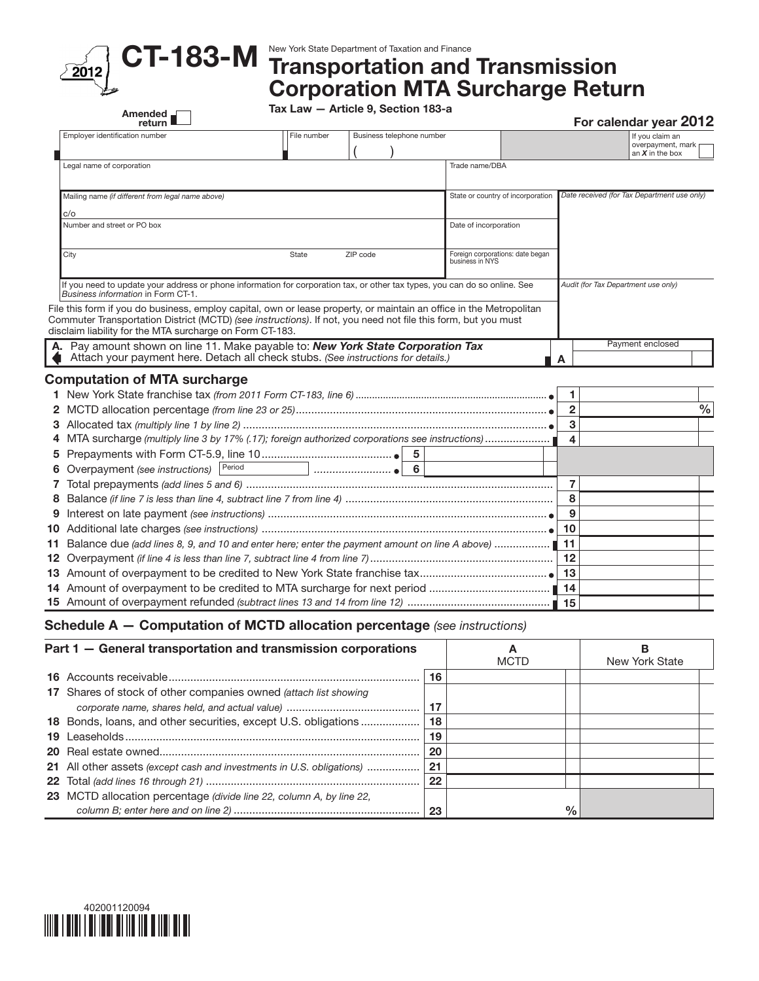

## CT-183-M New York State Department of Taxation and Finance<br>CT-183-M Transportation and Transmission Corporation MTA Surcharge Return

Tax Law — Article 9, Section 183-a

| Employer identification number<br>Legal name of corporation<br>Mailing name (if different from legal name above)<br>c/o<br>Number and street or PO box<br>City                                                                                                                                   | File number | Business telephone number |   | Trade name/DBA                                      |    |                | If you claim an<br>overpayment, mark<br>an $X$ in the box |      |
|--------------------------------------------------------------------------------------------------------------------------------------------------------------------------------------------------------------------------------------------------------------------------------------------------|-------------|---------------------------|---|-----------------------------------------------------|----|----------------|-----------------------------------------------------------|------|
|                                                                                                                                                                                                                                                                                                  |             |                           |   |                                                     |    |                |                                                           |      |
|                                                                                                                                                                                                                                                                                                  |             |                           |   |                                                     |    |                |                                                           |      |
|                                                                                                                                                                                                                                                                                                  |             |                           |   |                                                     |    |                |                                                           |      |
|                                                                                                                                                                                                                                                                                                  |             |                           |   | State or country of incorporation                   |    |                | Date received (for Tax Department use only)               |      |
|                                                                                                                                                                                                                                                                                                  |             |                           |   |                                                     |    |                |                                                           |      |
|                                                                                                                                                                                                                                                                                                  |             |                           |   | Date of incorporation                               |    |                |                                                           |      |
|                                                                                                                                                                                                                                                                                                  | State       | ZIP code                  |   | Foreign corporations: date began<br>business in NYS |    |                |                                                           |      |
| If you need to update your address or phone information for corporation tax, or other tax types, you can do so online. See<br>Business information in Form CT-1.                                                                                                                                 |             |                           |   |                                                     |    |                | Audit (for Tax Department use only)                       |      |
| File this form if you do business, employ capital, own or lease property, or maintain an office in the Metropolitan<br>Commuter Transportation District (MCTD) (see instructions). If not, you need not file this form, but you must<br>disclaim liability for the MTA surcharge on Form CT-183. |             |                           |   |                                                     |    |                |                                                           |      |
| Pay amount shown on line 11. Make payable to: New York State Corporation Tax<br>А.<br>Attach your payment here. Detach all check stubs. (See instructions for details.)                                                                                                                          |             |                           |   |                                                     |    | A              | Payment enclosed                                          |      |
| <b>Computation of MTA surcharge</b>                                                                                                                                                                                                                                                              |             |                           |   |                                                     |    |                |                                                           |      |
|                                                                                                                                                                                                                                                                                                  |             |                           |   |                                                     |    | 1              |                                                           |      |
|                                                                                                                                                                                                                                                                                                  |             |                           |   |                                                     |    | $\overline{2}$ |                                                           | $\%$ |
|                                                                                                                                                                                                                                                                                                  |             |                           |   |                                                     |    | 3              |                                                           |      |
| 4 MTA surcharge (multiply line 3 by 17% (.17); foreign authorized corporations see instructions)                                                                                                                                                                                                 |             |                           |   |                                                     |    | 4              |                                                           |      |
|                                                                                                                                                                                                                                                                                                  |             |                           | 5 |                                                     |    |                |                                                           |      |
| 6 Overpayment (see instructions) Period                                                                                                                                                                                                                                                          |             |                           |   |                                                     |    |                |                                                           |      |
|                                                                                                                                                                                                                                                                                                  |             |                           |   |                                                     |    | $\overline{7}$ |                                                           |      |
| 8                                                                                                                                                                                                                                                                                                |             |                           |   |                                                     |    | 8              |                                                           |      |
| 9                                                                                                                                                                                                                                                                                                |             |                           |   |                                                     |    | 9              |                                                           |      |
|                                                                                                                                                                                                                                                                                                  |             |                           |   |                                                     | 10 |                |                                                           |      |
| 11 Balance due (add lines 8, 9, and 10 and enter here; enter the payment amount on line A above)                                                                                                                                                                                                 |             |                           |   |                                                     | 11 |                |                                                           |      |
|                                                                                                                                                                                                                                                                                                  |             |                           |   |                                                     | 12 |                |                                                           |      |
|                                                                                                                                                                                                                                                                                                  |             |                           |   | 13                                                  |    |                |                                                           |      |
|                                                                                                                                                                                                                                                                                                  |             |                           |   |                                                     |    | 14             |                                                           |      |
|                                                                                                                                                                                                                                                                                                  |             |                           |   |                                                     |    | 15             |                                                           |      |
| <b>Schedule A - Computation of MCTD allocation percentage</b> (see instructions)                                                                                                                                                                                                                 |             |                           |   |                                                     |    |                |                                                           |      |

| Part 1 - General transportation and transmission corporations         |    | <b>MCTD</b> | New York State |
|-----------------------------------------------------------------------|----|-------------|----------------|
|                                                                       | 16 |             |                |
| 17 Shares of stock of other companies owned (attach list showing      |    |             |                |
|                                                                       | 17 |             |                |
| 18 Bonds, loans, and other securities, except U.S. obligations        | 18 |             |                |
|                                                                       | 19 |             |                |
|                                                                       | 20 |             |                |
| 21 All other assets (except cash and investments in U.S. obligations) | 21 |             |                |
|                                                                       | 22 |             |                |
| 23 MCTD allocation percentage (divide line 22, column A, by line 22,  | 23 | %           |                |